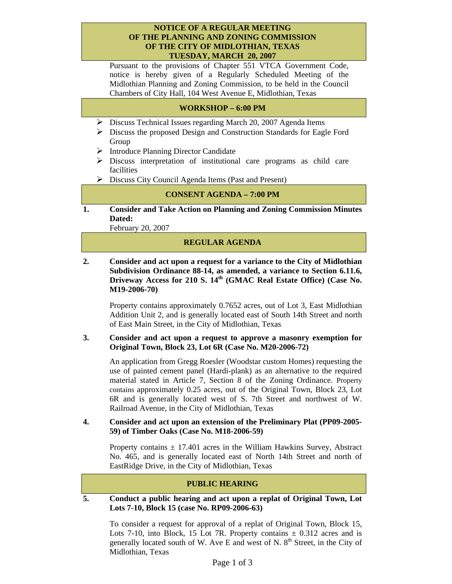#### **NOTICE OF A REGULAR MEETING OF THE PLANNING AND ZONING COMMISSION OF THE CITY OF MIDLOTHIAN, TEXAS TUESDAY, MARCH 20, 2007**

Pursuant to the provisions of Chapter 551 VTCA Government Code, notice is hereby given of a Regularly Scheduled Meeting of the Midlothian Planning and Zoning Commission, to be held in the Council Chambers of City Hall, 104 West Avenue E, Midlothian, Texas

# **WORKSHOP – 6:00 PM**

- ¾ Discuss Technical Issues regarding March 20, 2007 Agenda Items
- ¾ Discuss the proposed Design and Construction Standards for Eagle Ford Group
- ¾ Introduce Planning Director Candidate
- $\triangleright$  Discuss interpretation of institutional care programs as child care facilities
- $\triangleright$  Discuss City Council Agenda Items (Past and Present)

### **CONSENT AGENDA – 7:00 PM**

**1. Consider and Take Action on Planning and Zoning Commission Minutes Dated:** 

February 20, 2007

### **REGULAR AGENDA**

**2. Consider and act upon a request for a variance to the City of Midlothian Subdivision Ordinance 88-14, as amended, a variance to Section 6.11.6,**  Driveway Access for 210 S. 14<sup>th</sup> (GMAC Real Estate Office) (Case No. **M19-2006-70)** 

Property contains approximately 0.7652 acres, out of Lot 3, East Midlothian Addition Unit 2, and is generally located east of South 14th Street and north of East Main Street, in the City of Midlothian, Texas

#### **3. Consider and act upon a request to approve a masonry exemption for Original Town, Block 23, Lot 6R (Case No. M20-2006-72)**

An application from Gregg Roesler (Woodstar custom Homes) requesting the use of painted cement panel (Hardi-plank) as an alternative to the required material stated in Article 7, Section 8 of the Zoning Ordinance. Property contains approximately 0.25 acres, out of the Original Town, Block 23, Lot 6R and is generally located west of S. 7th Street and northwest of W. Railroad Avenue, in the City of Midlothian, Texas

**4. Consider and act upon an extension of the Preliminary Plat (PP09-2005- 59) of Timber Oaks (Case No. M18-2006-59)** 

Property contains  $\pm$  17.401 acres in the William Hawkins Survey, Abstract No. 465, and is generally located east of North 14th Street and north of EastRidge Drive, in the City of Midlothian, Texas

#### **PUBLIC HEARING**

**5. Conduct a public hearing and act upon a replat of Original Town, Lot Lots 7-10, Block 15 (case No. RP09-2006-63)** 

To consider a request for approval of a replat of Original Town, Block 15, Lots 7-10, into Block, 15 Lot 7R. Property contains  $\pm$  0.312 acres and is generally located south of W. Ave E and west of N.  $8<sup>th</sup>$  Street, in the City of Midlothian, Texas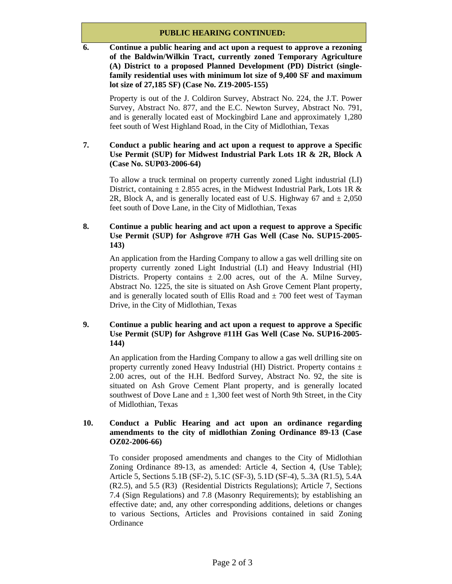# **PUBLIC HEARING CONTINUED:**

**6. Continue a public hearing and act upon a request to approve a rezoning of the Baldwin/Wilkin Tract, currently zoned Temporary Agriculture (A) District to a proposed Planned Development (PD) District (singlefamily residential uses with minimum lot size of 9,400 SF and maximum lot size of 27,185 SF) (Case No. Z19-2005-155)** 

Property is out of the J. Coldiron Survey, Abstract No. 224, the J.T. Power Survey, Abstract No. 877, and the E.C. Newton Survey, Abstract No. 791, and is generally located east of Mockingbird Lane and approximately 1,280 feet south of West Highland Road, in the City of Midlothian, Texas

# **7. Conduct a public hearing and act upon a request to approve a Specific Use Permit (SUP) for Midwest Industrial Park Lots 1R & 2R, Block A (Case No. SUP03-2006-64)**

To allow a truck terminal on property currently zoned Light industrial (LI) District, containing  $\pm$  2.855 acres, in the Midwest Industrial Park, Lots 1R & 2R, Block A, and is generally located east of U.S. Highway 67 and  $\pm 2,050$ feet south of Dove Lane, in the City of Midlothian, Texas

# **8. Continue a public hearing and act upon a request to approve a Specific Use Permit (SUP) for Ashgrove #7H Gas Well (Case No. SUP15-2005- 143)**

An application from the Harding Company to allow a gas well drilling site on property currently zoned Light Industrial (LI) and Heavy Industrial (HI) Districts. Property contains  $\pm$  2.00 acres, out of the A. Milne Survey, Abstract No. 1225, the site is situated on Ash Grove Cement Plant property, and is generally located south of Ellis Road and  $\pm$  700 feet west of Tayman Drive, in the City of Midlothian, Texas

# **9. Continue a public hearing and act upon a request to approve a Specific Use Permit (SUP) for Ashgrove #11H Gas Well (Case No. SUP16-2005- 144)**

An application from the Harding Company to allow a gas well drilling site on property currently zoned Heavy Industrial (HI) District. Property contains  $\pm$ 2.00 acres, out of the H.H. Bedford Survey, Abstract No. 92, the site is situated on Ash Grove Cement Plant property, and is generally located southwest of Dove Lane and  $\pm 1,300$  feet west of North 9th Street, in the City of Midlothian, Texas

### **10. Conduct a Public Hearing and act upon an ordinance regarding amendments to the city of midlothian Zoning Ordinance 89-13 (Case OZ02-2006-66)**

To consider proposed amendments and changes to the City of Midlothian Zoning Ordinance 89-13, as amended: Article 4, Section 4, (Use Table); Article 5, Sections 5.1B (SF-2), 5.1C (SF-3), 5.1D (SF-4), 5..3A (R1.5), 5.4A (R2.5), and 5.5 (R3) (Residential Districts Regulations); Article 7, Sections 7.4 (Sign Regulations) and 7.8 (Masonry Requirements); by establishing an effective date; and, any other corresponding additions, deletions or changes to various Sections, Articles and Provisions contained in said Zoning **Ordinance**